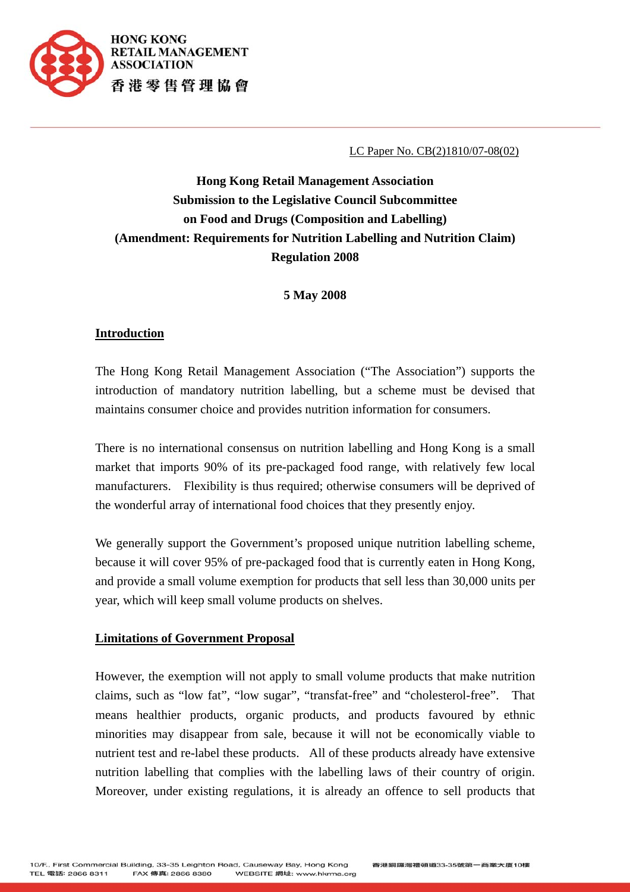

LC Paper No. CB(2)1810/07-08(02)

# **Hong Kong Retail Management Association Submission to the Legislative Council Subcommittee on Food and Drugs (Composition and Labelling) (Amendment: Requirements for Nutrition Labelling and Nutrition Claim) Regulation 2008**

**5 May 2008** 

## **Introduction**

The Hong Kong Retail Management Association ("The Association") supports the introduction of mandatory nutrition labelling, but a scheme must be devised that maintains consumer choice and provides nutrition information for consumers.

There is no international consensus on nutrition labelling and Hong Kong is a small market that imports 90% of its pre-packaged food range, with relatively few local manufacturers. Flexibility is thus required; otherwise consumers will be deprived of the wonderful array of international food choices that they presently enjoy.

We generally support the Government's proposed unique nutrition labelling scheme, because it will cover 95% of pre-packaged food that is currently eaten in Hong Kong, and provide a small volume exemption for products that sell less than 30,000 units per year, which will keep small volume products on shelves.

### **Limitations of Government Proposal**

However, the exemption will not apply to small volume products that make nutrition claims, such as "low fat", "low sugar", "transfat-free" and "cholesterol-free". That means healthier products, organic products, and products favoured by ethnic minorities may disappear from sale, because it will not be economically viable to nutrient test and re-label these products. All of these products already have extensive nutrition labelling that complies with the labelling laws of their country of origin. Moreover, under existing regulations, it is already an offence to sell products that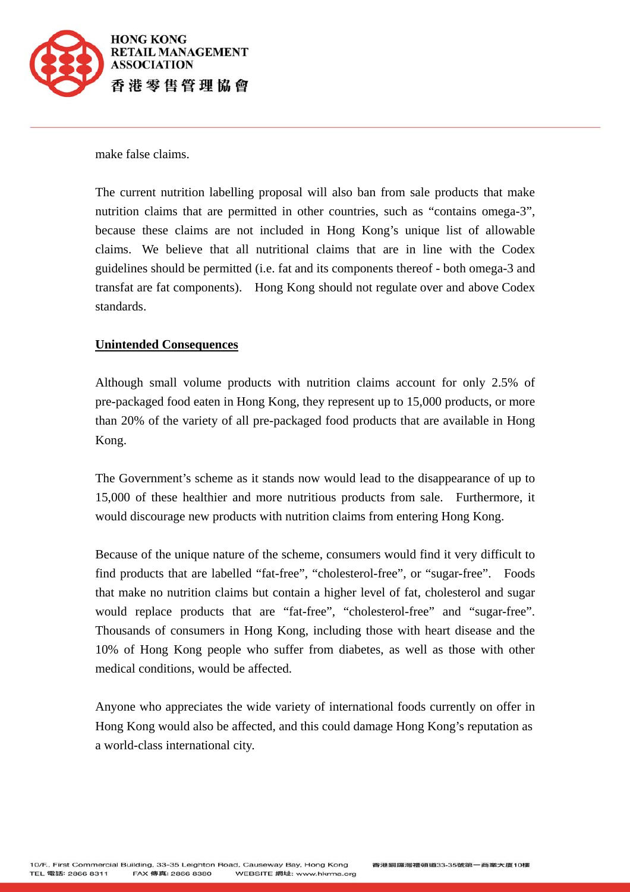

make false claims.

The current nutrition labelling proposal will also ban from sale products that make nutrition claims that are permitted in other countries, such as "contains omega-3", because these claims are not included in Hong Kong's unique list of allowable claims. We believe that all nutritional claims that are in line with the Codex guidelines should be permitted (i.e. fat and its components thereof - both omega-3 and transfat are fat components). Hong Kong should not regulate over and above Codex standards.

#### **Unintended Consequences**

Although small volume products with nutrition claims account for only 2.5% of pre-packaged food eaten in Hong Kong, they represent up to 15,000 products, or more than 20% of the variety of all pre-packaged food products that are available in Hong Kong.

The Government's scheme as it stands now would lead to the disappearance of up to 15,000 of these healthier and more nutritious products from sale. Furthermore, it would discourage new products with nutrition claims from entering Hong Kong.

Because of the unique nature of the scheme, consumers would find it very difficult to find products that are labelled "fat-free", "cholesterol-free", or "sugar-free". Foods that make no nutrition claims but contain a higher level of fat, cholesterol and sugar would replace products that are "fat-free", "cholesterol-free" and "sugar-free". Thousands of consumers in Hong Kong, including those with heart disease and the 10% of Hong Kong people who suffer from diabetes, as well as those with other medical conditions, would be affected.

Anyone who appreciates the wide variety of international foods currently on offer in Hong Kong would also be affected, and this could damage Hong Kong's reputation as a world-class international city.